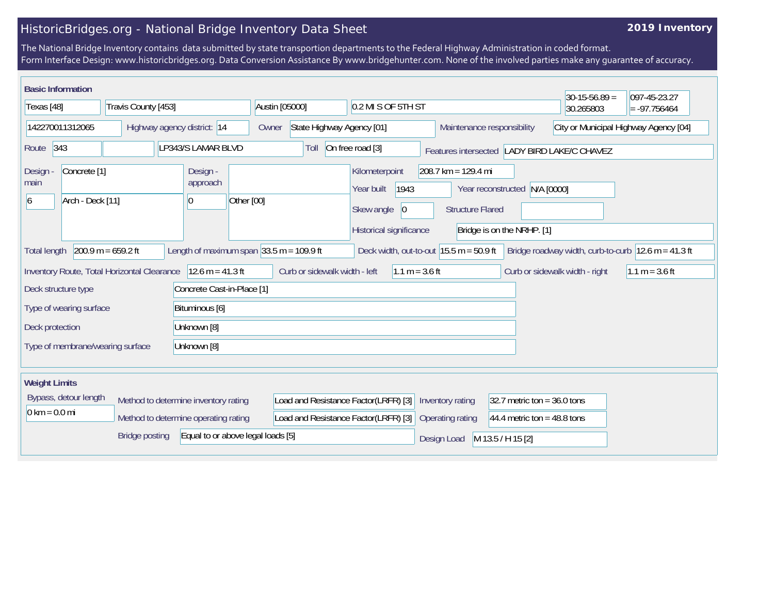## HistoricBridges.org - National Bridge Inventory Data Sheet

## **2019 Inventory**

The National Bridge Inventory contains data submitted by state transportion departments to the Federal Highway Administration in coded format. Form Interface Design: www.historicbridges.org. Data Conversion Assistance By www.bridgehunter.com. None of the involved parties make any guarantee of accuracy.

| <b>Basic Information</b>                                                  |                       |                                                              |                                      |                                                                                              |                                                  |                                                             | $30-15-56.89 =$                                                         | 097-45-23.27     |
|---------------------------------------------------------------------------|-----------------------|--------------------------------------------------------------|--------------------------------------|----------------------------------------------------------------------------------------------|--------------------------------------------------|-------------------------------------------------------------|-------------------------------------------------------------------------|------------------|
| Texas [48]<br>Travis County [453]                                         |                       | Austin [05000]                                               | 0.2 MI S OF 5TH ST                   |                                                                                              |                                                  |                                                             | $= -97.756464$                                                          |                  |
| 142270011312065<br>Highway agency district: 14                            |                       | Owner                                                        | State Highway Agency [01]            |                                                                                              | Maintenance responsibility                       | City or Municipal Highway Agency [04]                       |                                                                         |                  |
| 343<br>Route                                                              |                       | LP343/S LAMAR BLVD                                           | Toll                                 | On free road [3]                                                                             |                                                  |                                                             | Features intersected LADY BIRD LAKE/C CHAVEZ                            |                  |
| Concrete <sup>[1]</sup><br><b>Design</b><br>main<br>Arch - Deck [11]<br>6 |                       | Design -<br>approach<br>Other [00]<br>$ 0\rangle$            |                                      | Kilometerpoint<br>1943<br>Year built<br>$ 0\rangle$<br>Skew angle<br>Historical significance | $208.7$ km = 129.4 mi<br><b>Structure Flared</b> | Year reconstructed N/A [0000]<br>Bridge is on the NRHP. [1] |                                                                         |                  |
| <b>Total length</b>                                                       | $200.9 m = 659.2 ft$  | Length of maximum span $ 33.5 \text{ m} = 109.9 \text{ ft} $ |                                      | Deck width, out-to-out $15.5$ m = 50.9 ft                                                    |                                                  |                                                             | Bridge roadway width, curb-to-curb $ 12.6 \text{ m} = 41.3 \text{ ft} $ |                  |
| Inventory Route, Total Horizontal Clearance                               |                       | $12.6 m = 41.3 ft$                                           | Curb or sidewalk width - left        | $1.1 m = 3.6 ft$                                                                             |                                                  |                                                             | Curb or sidewalk width - right                                          | $1.1 m = 3.6 ft$ |
| Deck structure type                                                       |                       | Concrete Cast-in-Place [1]                                   |                                      |                                                                                              |                                                  |                                                             |                                                                         |                  |
| Type of wearing surface<br>Bituminous [6]                                 |                       |                                                              |                                      |                                                                                              |                                                  |                                                             |                                                                         |                  |
| Deck protection<br>Unknown [8]                                            |                       |                                                              |                                      |                                                                                              |                                                  |                                                             |                                                                         |                  |
| Type of membrane/wearing surface<br>Unknown [8]                           |                       |                                                              |                                      |                                                                                              |                                                  |                                                             |                                                                         |                  |
| <b>Weight Limits</b>                                                      |                       |                                                              |                                      |                                                                                              |                                                  |                                                             |                                                                         |                  |
| Bypass, detour length                                                     |                       | Method to determine inventory rating                         | Load and Resistance Factor(LRFR) [3] |                                                                                              | Inventory rating                                 | 32.7 metric ton = $36.0$ tons                               |                                                                         |                  |
| $0 \text{ km} = 0.0 \text{ mi}$                                           |                       | Method to determine operating rating                         | Load and Resistance Factor(LRFR) [3] |                                                                                              | Operating rating                                 | 44.4 metric ton = $48.8$ tons                               |                                                                         |                  |
|                                                                           | <b>Bridge posting</b> | Equal to or above legal loads [5]                            |                                      |                                                                                              | Design Load                                      | M 13.5 / H 15 [2]                                           |                                                                         |                  |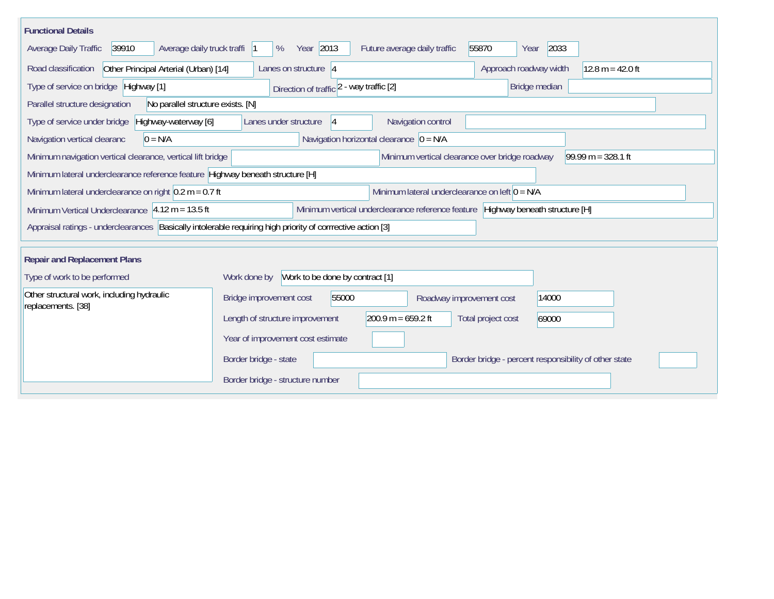| <b>Functional Details</b>                                                                                                             |                                                                                        |  |  |  |  |  |  |  |
|---------------------------------------------------------------------------------------------------------------------------------------|----------------------------------------------------------------------------------------|--|--|--|--|--|--|--|
| Average daily truck traffi  1<br>Average Daily Traffic<br>39910                                                                       | Year 2013<br>55870<br>2033<br>%<br>Future average daily traffic<br>Year                |  |  |  |  |  |  |  |
| Other Principal Arterial (Urban) [14]<br>Road classification                                                                          | Lanes on structure   4<br>Approach roadway width<br>$12.8 m = 42.0 ft$                 |  |  |  |  |  |  |  |
| Type of service on bridge Highway [1]                                                                                                 | Bridge median<br>Direction of traffic 2 - way traffic [2]                              |  |  |  |  |  |  |  |
| No parallel structure exists. [N]<br>Parallel structure designation                                                                   |                                                                                        |  |  |  |  |  |  |  |
| Highway-waterway [6]<br>Type of service under bridge                                                                                  | Lanes under structure<br>Navigation control<br> 4                                      |  |  |  |  |  |  |  |
| $0 = N/A$<br>Navigation vertical clearanc                                                                                             | Navigation horizontal clearance $\vert 0 = N/A \vert$                                  |  |  |  |  |  |  |  |
| Minimum navigation vertical clearance, vertical lift bridge<br>Minimum vertical clearance over bridge roadway<br>$99.99 m = 328.1 ft$ |                                                                                        |  |  |  |  |  |  |  |
| Minimum lateral underclearance reference feature Highway beneath structure [H]                                                        |                                                                                        |  |  |  |  |  |  |  |
| Minimum lateral underclearance on right $0.2$ m = 0.7 ft                                                                              | Minimum lateral underclearance on left $0 = N/A$                                       |  |  |  |  |  |  |  |
| Minimum Vertical Underclearance $ 4.12 \text{ m} = 13.5 \text{ ft} $                                                                  | Minimum vertical underclearance reference feature Highway beneath structure [H]        |  |  |  |  |  |  |  |
| Appraisal ratings - underclearances  Basically intolerable requiring high priority of corrrective action [3]                          |                                                                                        |  |  |  |  |  |  |  |
| <b>Repair and Replacement Plans</b>                                                                                                   |                                                                                        |  |  |  |  |  |  |  |
| Type of work to be performed                                                                                                          | Work to be done by contract [1]<br>Work done by                                        |  |  |  |  |  |  |  |
| Other structural work, including hydraulic                                                                                            | Bridge improvement cost<br>55000<br>14000<br>Roadway improvement cost                  |  |  |  |  |  |  |  |
| replacements. [38]                                                                                                                    | 200.9 m = $659.2$ ft<br>Length of structure improvement<br>Total project cost<br>69000 |  |  |  |  |  |  |  |
|                                                                                                                                       | Year of improvement cost estimate                                                      |  |  |  |  |  |  |  |
|                                                                                                                                       | Border bridge - state<br>Border bridge - percent responsibility of other state         |  |  |  |  |  |  |  |
|                                                                                                                                       | Border bridge - structure number                                                       |  |  |  |  |  |  |  |